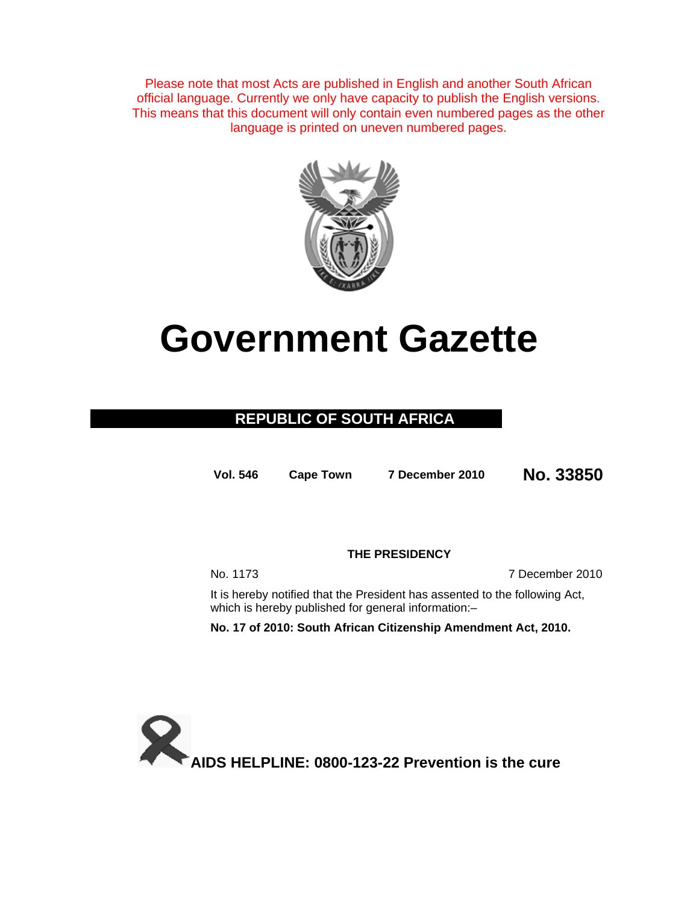Please note that most Acts are published in English and another South African official language. Currently we only have capacity to publish the English versions. This means that this document will only contain even numbered pages as the other language is printed on uneven numbered pages.



# **Government Gazette**

### **REPUBLIC OF SOUTH AFRICA**

**Vol. 546 Cape Town 7 December 2010 No. 33850**

**THE PRESIDENCY** 

No. 1173 7 December 2010

It is hereby notified that the President has assented to the following Act, which is hereby published for general information:-

**No. 17 of 2010: South African Citizenship Amendment Act, 2010.** 

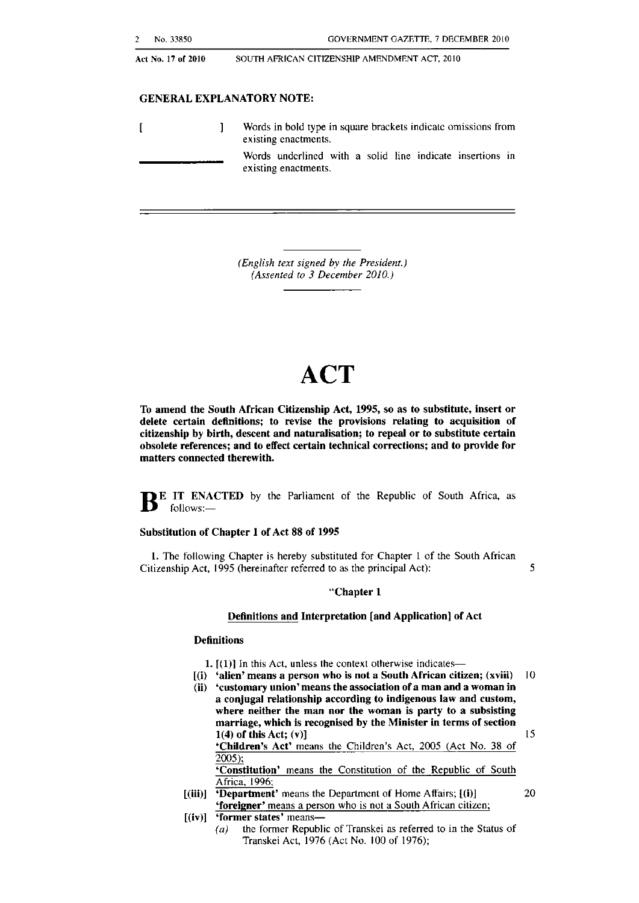Act No. 17 of 2010

SOUTH AFRICAN CITIZENSHIP AMENDMENT ACT, 2010

#### GENERAL EXPLANATORY NOTE:

Words in bold Iype in square brackels indicatc omissions from  $\overline{1}$  $\mathbf{1}$ **existing enactments.** Words underlined with a solid line indicate insertions in **existing enactments.**

> *(English text signed by the President.) (Assented to* 3 *December 2010.)*

## **ACT**

To amend the South African Citizenship Act, 1995, so as to substitute, insert or delete certain definitions; to revise the provisions relating to acquisition or citizenship by birth, descent and naturalisation; to repeal or to substitute certain obsolete references; and to effect certain technical corrections; and to provide for matters connected therewith.

**JE IT ENACTED** by the Parliament of the Republic of South Africa, as follows:-

#### Substitution of Chapter 1 of Act 88 of 1995

 Citizenship Act, 1995 (hereinafter referred to as the principal Act); 5 1. The following Chapter is hereby substituted for Chapter I of the South African

#### "Chapter 1

#### Definitions and Interpretation [and Application] of Act

#### **Definitions**

- 1.  $[$ (1)] In this Act, unless the context otherwise indicates--
- [(i) 'alien' means a person who is not a South African citizen; (xviii) 10
- **(ii) 'customary union'means the association ora man and a woman in** a conjugal relationship according to indigenous law and custom, where neither the man nor the woman is party to a subsisting

marriage, which is recognised by the Minister in terms of section 1(4) of this Act; (v)]  $15$ 'Children's Act' means the Children's Act, 2005 (Act No, 38 of 2005);

'Constitution' means the Constitution of the Republic of South Africa, 1996;

- $[(iii)]$  **'Department'** means the Department of Home Affairs;  $[(i)]$  20 **'foreigner'** means a person who is not a South African citizen;
- $[(iv)]$  'former states' means-
	- (a) the former Republic of Transkei as referred to in the Status of Transkei Act, 1976 (Act No. 100 of 1976);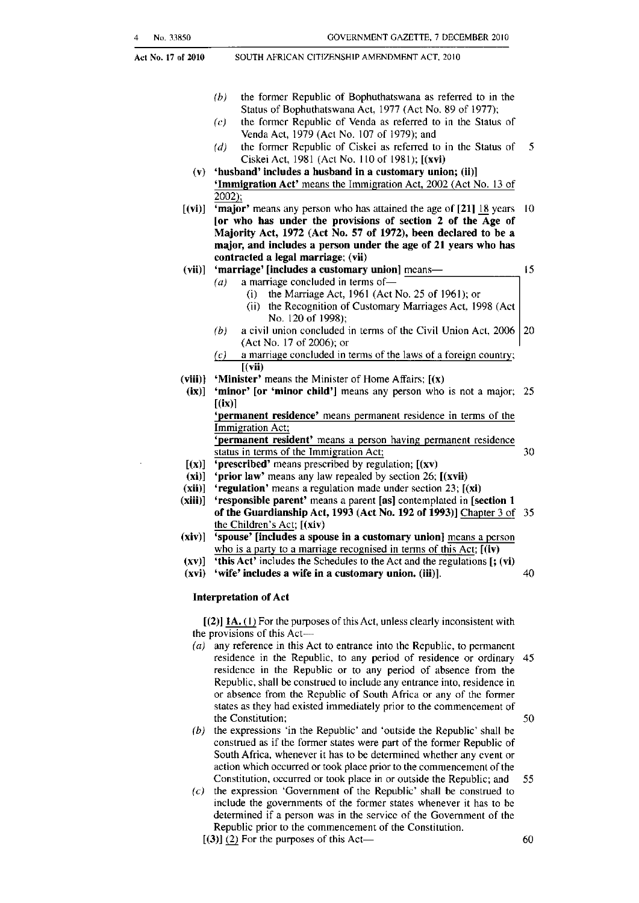Act No, 17 of 2010

SOUTH AFRICAN CITIZENSHIP AMENDMENT ACT, 2010

- *(h)* the former Republic of Bophuthatswana as referred to in the Status of Bophuthatswana Act, 1977 (Act No, 89 of 1977);
- $(c)$  the former Republic of Venda as referred to in the Status of Venda Act, 1979 (Act No. 107 of 1979); and
- (d) the former Republic of Ciskei as referred to in the Status of  $5$ Ciskei Act, 1981 (Act No, 1\0 of 1981); [(xvi)
- (v) 'husband' includes a busband in a customary union; (ii)] 'Immigration Act' means the Immigration ACI, 2002 (Act No. 13 of 2002);
- Majority Act, 1972 (Act No. 57 of 1972), been declared to be a  $[(vi)]$  'major' means any person who has attained the age of  $[21]$  18 years 10 [or who has under the provisions of section 2 of the Age of major, and includes a person under the age of 21 years who has contracted a legal marriage; (vii)

#### (vii)] 'marriage' [includes a customary union] means-

 $(a)$  a marriage concluded in terms of-

- (i) Ihe Marriage Act, 1961 (Act No, 25 of 1961); or
	- (ii) the Recognition of Customary Marriages Act, 1998 (Act No. 120 of 1998);
- *(b)* a civil union concluded in terms of the Civil Union Act, 2006 20 (Act No. 17 of 2006); or
- $(c)$  a marriage concluded in terms of the laws of a foreign country;  $[(\nabla \mathbf{ii})$
- (viii)] 'Minister' means the Minister of Home Affairs;  $[(x)]$
- (ix)] 'minor' [or 'minor child'J means any person who is not a major; 25  $[(ix)]$

'permanent residence' means permanent residence in terms of the Immigration Act;

'permanent resident' means a person having permanent residence status in terms of the Immigration Act; 30

- $[(x)]$  'prescribed' means prescribed by regulation;  $[(xy)]$
- $(xi)$ ] 'prior law' means any law repealed by section 26;  $[(xvii)$
- (xii)] 'regulation' means a regulation made under section 23;  $[(xi)$
- (xiii)] 'responsible parent' means a parent [as] contemplated in [section 1 of the Guardianship Act, 1993 (Act No. 192 of 1993)] Chapter 3 of 35 the Children's Act; [(xiv)
- $(xiv)$ ]  $\overline{S\}$  spouse' [includes a spouse in a customary union] means a person who is a party to a marriage recognised in terms of this Act;  $[(iv)]$
- (xv)] 'this Act' includes the Schedules to the Act and the regulations [; (vi)
- (xvi) 'wife' includes a wife in a customary union. (iii)], 40

#### Interpretation of Act

 $[(2)]$  **IA.** (1) For the purposes of this Act, unless clearly inconsistent with the provisions of this  $Act$ —

- (a) any reference in this Act to entrance into the Republic, to permanent residence in the Republic, to any period of residence or ordinary 45 residencc in the Republic or to any period of absence from the Republic, shall be construed to include any entrance into, residence in or absence from the Republic of South Africa or any of the former states as they had existed immediately prior to the commencement of the Constitution; 50
- (b) the expressions 'in the Republic' and 'outside the Republic' shall be construed as if tbe fonner states were part of the former Republic of South Africa, whenever it has to be determined whether any event or action which occurred or took place prior to the commencement of the Constitution, occurred or took place in or outside the Republic; and 55
- $(c)$  the expression 'Government of the Republic' shall be construed to include the governments of the former states whenever it has to be determined if a person was in the service of the Government of the Republic prior to the commencement of the Constitution.  $[(3)] (2)$  For the purposes of this Act- 60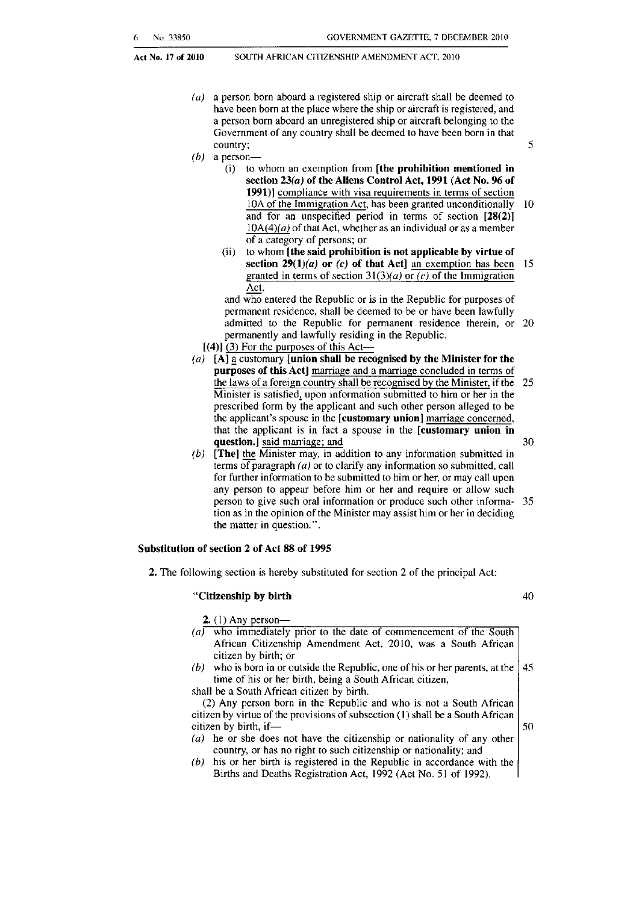#### SOUTH AFRICAN CITIZENSHIP AMENDMENT ACT. 2010

- country; (a) a person born aboard a registered ship or aircraft shall be deemed to have been born at the place where the ship or aircraft is registered, and a person born aboard an unregistered ship or aircraft belonging to the Government of any country shall be deemed to have been born in that country; 5
- $(b)$  a person-
	- $(i)$  to whom an exemption from  $[the$  prohibition mentioned in section 23(a) of the Aliens Control Act, 1991 (Act No. 96 of 1991)] compliance with visa requirements in terms of section 10A of the Immigration Act, has been granted unconditionally 10 and for an unspecified period in terms of section [28(2)]  $10A(4)(a)$  of that Act, whether as an individual or as a member of a category of persons; or
	- (ii) to whom [the said prohibition is not applicable by virtue of section  $29(1)(a)$  or (c) of that Act] an exemption has been 15 granted in terms of section  $31(3)(a)$  or  $(c)$  of the Immigration Act,

and who entered the Republic or is in the Republic for purposes of permanent residence, shall be deemed to be or have been lawfully admitted to the Republic for permanent residence therein, or 20 permanently and lawfully residing in the Republic.

- $[(4)]$  (3) For the purposes of this Act-
- (a)  $[A]$  a customary [union shall be recognised by the Minister for the purposes of this Act] marriage and a marriage concluded in terms of the laws of a foreign country shall be recognised by the Minister, if the 25 Minister is satisfied, upon information submitted to him or her in the prescribed form by the applicant and such other person alleged to be the applicant's spouse in the [customary union] marriage concerned, that the applicant is in fact a spouse in the [customary union in question.] said marriage; and 30
- (b) [The) the Minister may, in addition to any information submitted in terms of paragraph  $(a)$  or to clarify any information so submitted, call for further information to be submitted to him or her, or may call upon any person to appear before him or her and require or allow such person to give such oral information or produce such other informa- 35 tion as in the opinion of the Minister may assist him or her in deciding the matter in question. " .

#### Substitution of section 2 of Act 88 of 1995

2. The following section is hereby suhstituted for section 2 of the principal Act:

#### "Citizenship by birth

40

- 2. (I) Any personwho immediately prior to the date of commencement of the South African Citizenship Amendment Act, 2010, was a South African citizen by birth; or (b) who is born in or outside the Republic, one of his or her parents, at the  $\frac{145}{120}$ time of his or her birth, being a South African citizen, shall be a South African citizen by birth. (2) Any person born in the Republic and who is not a South African citizen by virtue of the provisions of subsection (1) shall be a South African  $\begin{vmatrix} 50 \\ 50 \end{vmatrix}$ (a) he or she does not have the citizenship or nationality of any other country. or has no right to such citizenship or nationality; and
	- (b) his or her birth is registered in the Republic in accordance with the Births and Deaths Registration Act, 1992 (Act No. 51 of 1992).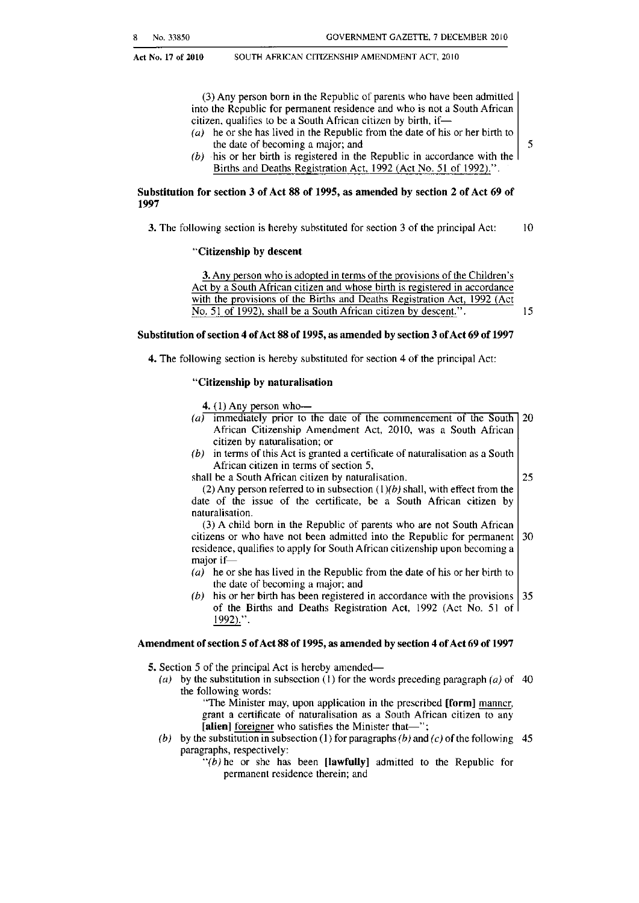Act No. 17 of 2010

SOUTH AFRICAN CITIZENSHIP AMENDMENT ACT, 2010

(3) Any person born in the Republic of parents who have been admitted into the Republic for permanent residence and who is not a South African citizen, qualifies to be <sup>a</sup> South African citizen by birth, if-

- (a) he or she has lived in the Republic from the date of his or her birth to the date of becoming a major; and  $\vert 5 \rangle$
- $(b)$  his or her birth is registered in the Republic in accordance with the Births and Deaths Registration Act, 1992 (Act No. 51 of 1992).".

#### Substitution for section 3 of Act 88 of 1995, as amended by section 2 of Act 69 of 1997

3. The following section is hereby substituted for section 3 of the principal Act: 10

#### "Citizensbip by descent

3. Any person who is adopted in terms of the provisions of the Children's Act by a South African citizen and whose birth is registered in accordance with the provisions of the Births and Deaths Registration Act, 1992 (Act No. 51 of 1992), shall be a South African citizen by descent.". 15

#### Substitution of section 4 of Act 88 of 1995, as amended by section 3 of Act 69 of 1997

4. The following section is hereby substituted for section 4 of the principal Act:

#### "Citizenship by naturalisation

4. (1) Any person who-

- (a) immediately prior to the date of the commencement of the South  $20$ African Citizenship Amendment Act. 2010, was a South African citizen by naturalisation; or
- $(b)$  in terms of this Act is granted a certificate of naturalisation as a South African citizen in terms of section 5, shall be a South African citizen by naturalisation. 25

(2) Any person referred to in subsection  $(1)(b)$  shall, with effect from the date of the issue of the cenificate, be a South African citizen by naturalisation.

 residence, qualifies to apply for South African citizenship upon becoming a (3) A child born in the Republic of parents who are not South African citizens or who have not been admitted into the Republic for permanent  $\vert$  30 major if-

- (a) he or she has lived in the Republic from the date of his or her birth to the date of becoming a major; and
- his or her birth has been registered in accordance with the provisions  $\vert 35 \rangle$ of the Births and Deaths Registration Act, 1992 (Act No. 51 of 1992).".

#### Amendment of section 5 of Act 88 of 1995, as amended by section 4 of Act 69 of 1997

5. Section 5 of the principal Act is hereby amended-

- (a) by the substitution in subsection (1) for the words preceding paragraph (a) of 40 the following words:
	- "The Minister may, upon application in the prescribed [form] manner, grant a certificate of naturalisation as a South African citizen to any [alien] foreigner who satisfies the Minister that-";
- (b) by the substitution in subsection (1) for paragraphs (b) and (c) of the following 45 paragraphs, respectively:

 $''(b)$  he or she has been [lawfully] admitted to the Republic for permanent residence therein; and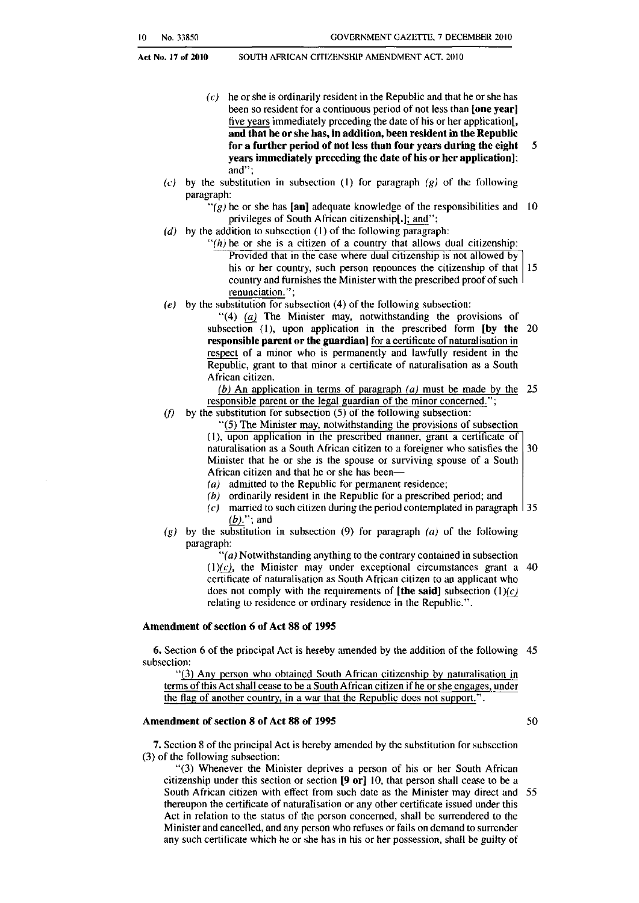Act No, 17 of 2010

SOUTH AFRICAN CITIZENSHIP AMENDMENT ACT, 2010

- for a further period of not less than four years during the eight  $5$  $(c)$  he or she is ordinarily resident in the Republic and that he or she has been so resident for a continuous period of not less than [one year] five years immediately preceding the date of his or her application[, and that he orshe has, in addition, been resident in the Republic years immediately preceding the date of his or her application]; and";
- *(el* by the substitution in suhsection (I) for paragraph *(gl* of the following paragraph:
	- "(g) he or she has [an] adequate knowledge of the responsibilities and  $10$ privileges of South African citizenshipl.]; and";
- (d) by the addition to subsection (1) of the following paragraph:
	- $f'(h)$  he or she is a citizen of a country that allows dual citizenship: Provided that in the case where dual citizenship is not allowed by his or her country, such person renounces the citizenship of that  $|15|$ country and furnishes the Minister with the prescribed proof of such renunciation. ";
- *(el* by the substitution for subsection (4) of the following subsection:

"(4) (a) The Minister may, notwithstanding the provisions of subsection  $(1)$ , upon application in the prescribed form  $[$ by the 20 **responsible parent or the guardian]** for a certificate of naturalisation in respect of a minor who is permanently and lawfully resident in the Republic, grant to that minor a certificate of naturalisation as a South African citizen.

(b) An application in terms of paragraph  $(a)$  must be made by the 25 responsible parent or the legal guardian of the minor concerned.";

*(f)* by the substitution for subsection (5) of the following subsection:

"(5) The Minister may. notwithstanding the provisions of subsection (I), upon application in the prescribed manner, grant a certificate of naturalisation as a South African citizen to a foreigner who satisfies the  $\vert$  30 Minister that he or she is the spouse or surviving spouse of a South

- African citizen and that he or she has been- (a) admitted to the Republic for permanent residence;
- 
- (b) ordinarily resident in the Republic for a prescribed period; and  $(c)$  married to such citizen during the period contemplated in paragraph  $\vert$  35
	- $(b)$ ."; and
- *(g)* by the substitution in subsection (9) for paragraph *(a)* of the following paragraph:

*"(al* Notwithstanding anything to the contrary contained in subsection (1) $(c)$ , the Minister may under exceptional circumstances grant a 40 certificate of naluralisation as South African citizen to an applicant who does not comply with the requirements of [the said] subsection  $(1)(c)$ relating to residence or ordinary residence in the Republic.".

#### Amendment of section 6 of Act 88 of 1995

6. Section 6 of the principal Act is hereby amended by the addition of the following 45 subsection:

"(3) Any person who obtained South Ali-iean citizenship by naturalisation in terms of this Act shall cease to be a South African citizen if he or she engages, under the flag of another country. in a war that the Republic does not support." .

#### Amendment of section 8 of Act 88 of 1995 50

7. Section 8 of the principal Act is hereby amended by the substitution for subsection (3) of the following suhsection:

 citizenship under this section or section [9 or] 10, that person shall cease to be a "(3) Whenever the Minister deprives a person of his or her South African South African citizen with effect from such date as the Minister may direct and 55 thereupon the certificate of naturalisation or any other certificate issued under this Act in relation to the status of the person concerned, shall be surrendered to the Minister and cancelled, and any person who refuses or fails on demand to surrender any such certifleate which he or she has in his or her possession, shall be guilty of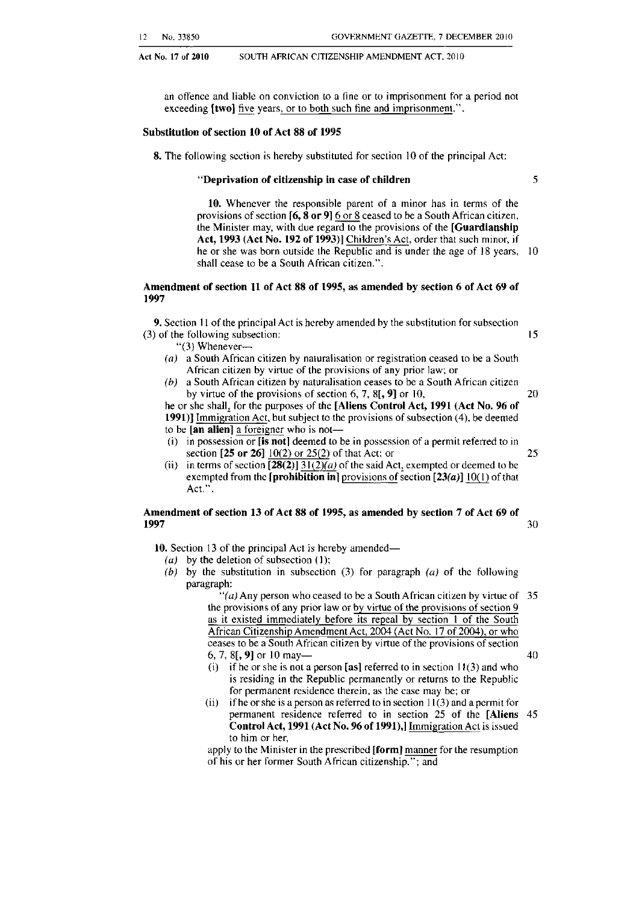Act No. 17 of 2010 SOUTH AFRICAN CITIZENSHIP AMENDMENT ACT, 2010

an offence and liable on conviction to a flne or to imprisonment for a period not exceeding **[two]** five years, or to both such fine and imprisonment.".

#### Substitution of section 10 of Act 88 of 1995

8. The following section is hereby substituted for section 10 of the principal Act:

#### "Deprivation of citizenship in case of children 35

10. Whenever the responsible parent of a minor has in terms of the provisions of section  $[6, 8 \text{ or } 9]$  6 or 8 ceased to be a South African citizen, the Minister may, with due regard to the provisions of the [Guardianship] Act, 1993 (Act No. 192 of 1993)] Children's Act, order that such minor, if he or she was born outside the Republic and is under the age of 18 years, 10 shall cease to be a South African citizen.".

#### Amendment of section 11 of Act 88 of 1995, as amended by section 6 of Act 69 of 1997

9. Section II of the principal Act is hereby amended by the substitution for subsection (3) of the following subsection: 15

"(3) Whenever-

- (a) a South African citizen by naturalisation or registration ceased to be a South African citizen by virtue of the provisions of any prior law; or
- (b) a South African citizen by naturalisation ceases to be a South African citizen by virtue of the provisions of section 6, 7,  $8[$ , 9] or 10, 20

he or she shall, for the purposes of the [Aliens Control Act, 1991 (Act No. 96 of 1991)] Immigration Act, but subject to the provisions of subsection  $(4)$ , be deemed to be  $[$ an alien $]$  a foreigner who is not--

- (i) in possession or [is not] deemed to be in possession of a permit referred to in section  $[25 \text{ or } 26]$  10(2) or 25(2) of that Act; or 25
- (ii) in terms of section  $\sqrt{28(2)}$  31(2)(a) of the said Act, exempted or deemed to be exempted from the [prohibition in] provisions of section  $[23(a)]10(1)$  of that Act." .

#### Amendment of section 13 of Act 88 of 1995, as amended by section 7 of Act 69 of **1997** 30

10. Section 13 of the principal Act is hereby amended—

- (a) by the deletion of subsection (1);
- (b) by the substitution in subsection (3) for paragraph  $(a)$  of the following paragraph:

 the provisions of any prior law or by virtue of the provisions of section 9 "(a) Any person who ceased to be a South African citizen by virtue of  $35$ as it existed immediately before its repeal by section I of the South African Citizenship Amendment Act, 2004 (Act No. 17 of 2004), or who ceases to be a South African citizen by virtue of the provisions of section 6, 7, 8[, 9] or 10 may— 40

- 
- (i) if he or she is not a person [as] referred to in section  $11(3)$  and who is residing in the Republic permanently or returns to the Republic for permanent residence therein, as the case may be; or
- (ii) if he or she is a person as referred to in section  $11(3)$  and a permit for permanent residence referred to in section 25 of the [Aliens 45 Control Act, 1991 (Act No. 96 of 1991),] Immigration Act is issued to him or her,

apply to the Minister in the prescribed [form] manner for the resumption of his or her former South Afiican citizenship."; and